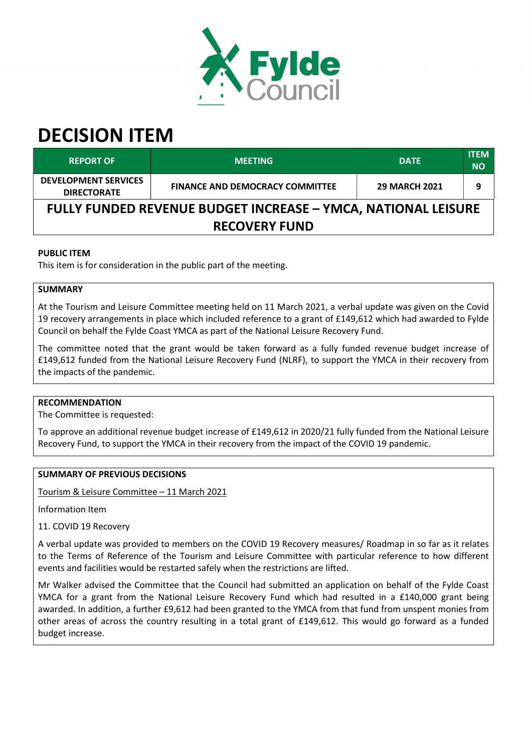

# DECISION ITEM

| <b>REPORT OF</b>                                                     | <b>MEETING</b>                         | <b>DATE</b>          | <b>ITEM</b><br><b>NO</b> |  |  |  |
|----------------------------------------------------------------------|----------------------------------------|----------------------|--------------------------|--|--|--|
| <b>DEVELOPMENT SERVICES</b><br><b>DIRECTORATE</b>                    | <b>FINANCE AND DEMOCRACY COMMITTEE</b> | <b>29 MARCH 2021</b> | 9                        |  |  |  |
| <b>FULLY FUNDED REVENUE BUDGET INCREASE - YMCA, NATIONAL LEISURE</b> |                                        |                      |                          |  |  |  |
| <b>RECOVERY FUND</b>                                                 |                                        |                      |                          |  |  |  |

# PUBLIC ITEM

This item is for consideration in the public part of the meeting.

# **SUMMARY**

At the Tourism and Leisure Committee meeting held on 11 March 2021, a verbal update was given on the Covid 19 recovery arrangements in place which included reference to a grant of £149,612 which had awarded to Fylde Council on behalf the Fylde Coast YMCA as part of the National Leisure Recovery Fund.

The committee noted that the grant would be taken forward as a fully funded revenue budget increase of £149,612 funded from the National Leisure Recovery Fund (NLRF), to support the YMCA in their recovery from the impacts of the pandemic.

#### RECOMMENDATION

The Committee is requested:

To approve an additional revenue budget increase of £149,612 in 2020/21 fully funded from the National Leisure Recovery Fund, to support the YMCA in their recovery from the impact of the COVID 19 pandemic.

## SUMMARY OF PREVIOUS DECISIONS

Tourism & Leisure Committee – 11 March 2021

Information Item

11. COVID 19 Recovery

A verbal update was provided to members on the COVID 19 Recovery measures/ Roadmap in so far as it relates to the Terms of Reference of the Tourism and Leisure Committee with particular reference to how different events and facilities would be restarted safely when the restrictions are lifted.

Mr Walker advised the Committee that the Council had submitted an application on behalf of the Fylde Coast YMCA for a grant from the National Leisure Recovery Fund which had resulted in a £140,000 grant being awarded. In addition, a further £9,612 had been granted to the YMCA from that fund from unspent monies from other areas of across the country resulting in a total grant of £149,612. This would go forward as a funded budget increase.